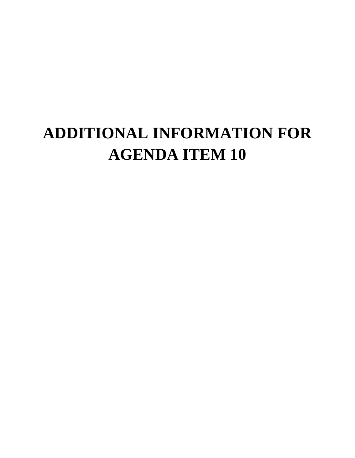# **ADDITIONAL INFORMATION FOR AGENDA ITEM 10**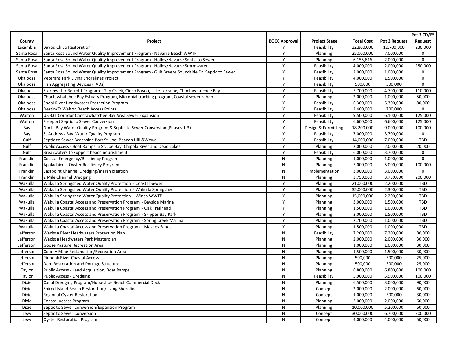|              |                                                                                                |                      |                      |                   |               | Pot 3 CD/FS    |
|--------------|------------------------------------------------------------------------------------------------|----------------------|----------------------|-------------------|---------------|----------------|
| County       | Project                                                                                        | <b>BOCC Approval</b> | <b>Project Stage</b> | <b>Total Cost</b> | Pot 3 Request | <b>Request</b> |
| Escambia     | <b>Bayou Chico Restoration</b>                                                                 | v                    | Feasibility          | 22,800,000        | 12,700,000    | 230,000        |
| Santa Rosa   | Santa Rosa Sound Water Quality Improvement Program - Navarre Beach WWTF                        | $\checkmark$         | Planning             | 25,000,000        | 7,000,000     | 0              |
| Santa Rosa   | Santa Rosa Sound Water Quality Improvement Program - Holley/Navarre Septic to Sewer            |                      | <b>Planning</b>      | 6,155,616         | 2,000,000     | 0              |
| Santa Rosa   | Santa Rosa Sound Water Quality Improvement Program - Holley/Navarre Stormwater                 | $\mathsf{v}$         | Feasibility          | 4,000,000         | 2,000,000     | 250,000        |
| Santa Rosa   | Santa Rosa Sound Water Quality Improvement Program - Gulf Breeze Soundside Dr. Septic to Sewer | Y                    | Feasibility          | 2,000,000         | 1,000,000     | $\mathbf 0$    |
| Okaloosa     | Veterans Park Living Shorelines Project                                                        | Y                    | Feasibility          | 4,000,000         | 1,500,000     | $\mathbf 0$    |
| Okaloosa     | Fish Aggregating Devices (FADs)                                                                | $\mathsf{v}$         | Feasibility          | 500,000           | 500,000       | $\mathbf 0$    |
| Okaloosa     | Stormwater Retrofit Program - Gap Creek, Cinco Bayou, Lake Lorraine, Choctawhatchee Bay        |                      | Feasibility          | 5,700,000         | 4,700,000     | 110,000        |
| Okaloosa     | Choctawhatchee Bay Estuary Program, Microbial tracking program, Coastal sewer rehab            | Y                    | Planning             | 2,000,000         | 1,000,000     | 50,000         |
| Okaloosa     | Shoal River Headwaters Protection Program                                                      | Y                    | Feasibility          | 6,300,000         | 5,300,000     | 80,000         |
| Okaloosa     | Destin/Ft Walton Beach Access Points                                                           | Y                    | Feasibility          | 2,400,000         | 700,000       | $\mathbf 0$    |
| Walton       | US 331 Corridor Choctawhatchee Bay Area Sewer Expansion                                        | <b>V</b>             | Feasibility          | 9,500,000         | 6,100,000     | 125,000        |
| Walton       | Freeport Septic to Sewer Conversion                                                            |                      | Feasibility          | 6,600,000         | 6,600,000     | 125,000        |
| Bay          | North Bay Water Quality Program & Septic to Sewer Conversion (Phases 1-3)                      | $\mathsf{v}$         | Design & Permitting  | 18,200,000        | 9,000,000     | 100,000        |
| Bay          | St Andrews Bay Water Quality Program                                                           | $\vee$               | Feasibility          | 7,000,000         | 3,700,000     | 0              |
| Gulf         | Septic to Sewer Beachside Port St. Joe, Beacon Hill & Wewa                                     | Y                    | Feasibility          | 14,000,000        | 7,000,000     | TBD            |
| Gulf         | Public Access - Boat Ramps in St. Joe Bay, Chipola River and Dead Lakes                        | <b>V</b>             | Planning             | 2,000,000         | 2,000,000     | 20,000         |
| Gulf         | Breakwaters to support beach nourishment                                                       | $\checkmark$         | Feasibility          | 6,000,000         | 3,700,000     | $\mathbf 0$    |
| Franklin     | Coastal Emergency/Resiliency Program                                                           | N                    | Planning             | 1,000,000         | 1,000,000     | $\mathbf 0$    |
| Franklin     | Apalachicola Oyster Resiliency Program                                                         | N                    | Planning             | 5,000,000         | 5,000,000     | 100,000        |
| Franklin     | Eastpoint Channel Dredging/marsh creation                                                      | N                    | Implementation       | 3,000,000         | 3,000,000     | $\mathbf 0$    |
| Franklin     | 2 Mile Channel Dredging                                                                        | N                    | Planning             | 3,750,000         | 3,750,000     | 200,000        |
| Wakulla      | Wakulla Springshed Water Quality Protection - Coastal Sewer                                    | Y                    | Planning             | 21,000,000        | 2,200,000     | TBD            |
| Wakulla      | Wakulla Springshed Water Quality Protection - Wakulla Springshed                               | $\checkmark$         | Planning             | 35,000,000        | 2,300,000     | <b>TBD</b>     |
| Wakulla      | Wakulla Springshed Water Quality Protection - Winco WWTP                                       | $\vee$               | Planning             | 15,000,000        | 2,200,000     | TBD            |
| Wakulla      | Wakulla Coastal Access and Preservation Program - Bayside Marina                               | Y                    | Planning             | 3,000,000         | 1,500,000     | <b>TBD</b>     |
| Wakulla      | Wakulla Coastal Access and Preservation Program - Oak Trailhead                                | Y                    | Planning             | 1,500,000         | 1,000,000     | TBD            |
| Wakulla      | Wakulla Coastal Access and Preservation Program - Skipper Bay Park                             | Y                    | Planning             | 3,000,000         | 1,500,000     | TBD            |
| Wakulla      | Wakulla Coastal Access and Preservation Program - Spring Creek Marina                          | Y                    | Planning             | 2,700,000         | 1,000,000     | TBD            |
| Wakulla      | Wakulla Coastal Access and Preservation Program - Mashes Sands                                 | Y                    | Planning             | 1,500,000         | 1,000,000     | <b>TBD</b>     |
| Jefferson    | Wacissa River Headwaters Protection Plan                                                       | $\mathsf{N}$         | Feasibility          | 7,200,000         | 7,200,000     | 80,000         |
| Jefferson    | Wacissa Headwaters Park Masterplan                                                             | N                    | Planning             | 2,000,000         | 2,000,000     | 30,000         |
| Jefferson    | Goose Pasture Recreation Area                                                                  | N                    | Planning             | 1,000,000         | 1,000,000     | 30,000         |
| Jefferson    | <b>County Mine Reclamation/Recreation Area</b>                                                 | N                    | Planning             | 1,500,000         | 1,500,000     | 30,000         |
| Jefferson    | <b>Pinhook River Coastal Access</b>                                                            | N                    | <b>Planning</b>      | 500,000           | 500,000       | 25,000         |
| Jefferson    | Dam Restoration and Portage Structure                                                          | N                    | Planning             | 500,000           | 500,000       | 25,000         |
| Taylor       | Public Access - Land Acquisition, Boat Ramps                                                   | N                    | Planning             | 6,800,000         | 6,800,000     | 100,000        |
| Taylor       | <b>Public Access - Dredging</b>                                                                | N                    | Feasibility          | 5,900,000         | 5,900,000     | 100,000        |
| <b>Dixie</b> | Canal Dredging Program/Horseshoe Beach Commercial Dock                                         | N                    | Planning             | 6,500,000         | 3,000,000     | 90,000         |
| <b>Dixie</b> | Shired Island Beach Restoration/Living Shoreline                                               | N                    | Concept              | 2,000,000         | 2,000,000     | 60,000         |
| <b>Dixie</b> | <b>Regional Oyster Restoration</b>                                                             | $\mathsf{N}$         | Concept              | 1,000,000         | 500,000       | 30,000         |
| <b>Dixie</b> | Coastal Access Program                                                                         | N                    | Planning             | 2,000,000         | 2,000,000     | 60,000         |
| <b>Dixie</b> | Septic to Sewer Conversion/Expansion Program                                                   | N                    | Planning             | 10,000,000        | 5,200,000     | 60,000         |
| Levy         | Septic to Sewer Conversion                                                                     | N                    | Concept              | 30,000,000        | 6,700,000     | 200,000        |
| Levy         | <b>Oyster Restoration Program</b>                                                              | N                    | Concept              | 4,000,000         | 4,000,000     | 50,000         |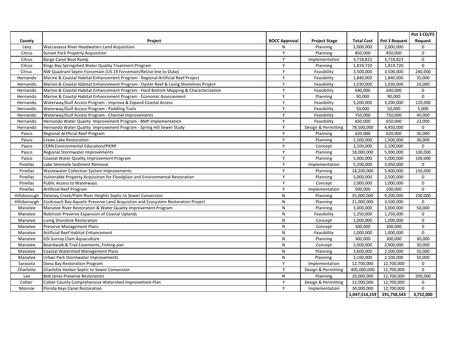|              |                                                                                        |                      |                      |                   |               | Pot 3 CD/FS  |
|--------------|----------------------------------------------------------------------------------------|----------------------|----------------------|-------------------|---------------|--------------|
| County       | Project                                                                                | <b>BOCC Approval</b> | <b>Project Stage</b> | <b>Total Cost</b> | Pot 3 Request | Request      |
| Levy         | Waccasassa River Headwaters Land Acquisition                                           | N                    | Planning             | 2,000,000         | 2,000,000     | $\mathbf 0$  |
| Citrus       | <b>Sunset Park Property Acquisition</b>                                                | $\vee$               | Planning             | 850,000           | 850,000       | $\mathbf 0$  |
| Citrus       | Barge Canal Boat Ramp                                                                  | Y                    | Implementation       | 3,718,823         | 3,718,823     | $\mathbf 0$  |
| Citrus       | Kings Bay Springshed Water Quality Treatment Program                                   | Y                    | Planning             | 1,819,720         | 1,819,720     | $\mathbf{0}$ |
| Citrus       | NW Quadrant Septic Forcemain (US 19 Forcemain/ReUse line to Duke)                      | $\vee$               | Feasibility          | 3,500,000         | 3,500,000     | 240,000      |
| Hernando     | Marine & Coastal Habitat Enhancement Program - Regional Artificial Reef Project        | $\checkmark$         | Feasibility          | 1,840,000         | 1,840,000     | 35,000       |
| Hernando     | Marine & Coastal Habitat Enhancement Program - Oyster Reef & Living Shorelines Project | Y                    | Feasibility          | 1,030,000         | 1,030,000     | 10,000       |
| Hernando     | Marine & Coastal Habitat Enhancement Program - Hard Bottom Mapping & Characterization  | Y                    | Feasibility          | 640,000           | 640,000       | $\mathbf 0$  |
| Hernando     | Marine & Coastal Habitat Enhancement Program - Economic Assessement                    | $\mathsf{Y}$         | Planning             | 90,000            | 90,000        | $\mathbf{0}$ |
| Hernando     | Waterway/Gulf Access Program - Improve & Expand Coastal Access                         | $\vee$               | Feasibility          | 3,200,000         | 3,200,000     | 120,000      |
| Hernando     | Waterway/Gulf Access Program - Paddling Trails                                         | $\mathsf{v}$         | Feasibility          | 50,000            | 50,000        | 5,000        |
| Hernando     | Waterway/Gulf Access Program - Channel Improvements                                    | $\mathsf{v}$         | Feasibility          | 750,000           | 750,000       | 40,000       |
| Hernando     | Hernando Water Quality Improvement Program - BMP Implementation                        | Y                    | Feasibility          | 650,000           | 650,000       | 22,000       |
| Hernando     | Hernando Water Quality Improvement Program - Spring Hill Sewer Study                   | Y                    | Design & Permitting  | 78,500,000        | 4,450,000     | $\mathbf 0$  |
| Pasco        | Regional Artificial Reef Program                                                       | Y                    | Planning             | 620,000           | 620,000       | 30,000       |
| Pasco        | <b>Crews Lake Restoration</b>                                                          | $\vee$               | Planning             | 1,500,000         | 1,500,000     | 30,000       |
| Pasco        | <b>CERN Environmental Education/PIERR</b>                                              | $\mathsf{v}$         | Concept              | 2,100,000         | 2,100,000     | $\mathbf 0$  |
| Pasco        | Regional Stormwater Improvements                                                       | $\mathsf{v}$         | Planning             | 18,000,000        | 5,000,000     | 100,000      |
| Pasco        | Coastal Water Quality Improvement Program                                              | Y                    | Planning             | 5,000,000         | 5,000,000     | 100,000      |
| Pinellas     | Lake Seminole Sediment Removal                                                         | Y                    | Implementation       | 5,200,000         | 3,450,000     | $\mathbf{0}$ |
| Pinellas     | Wastewater Collection System Improvements                                              | Y                    | Planning             | 18,200,000        | 5,400,000     | 150,000      |
| Pinellas     | Vulnerable Property Acquisition for Floodplain and Environmental Restoration           | $\mathsf{v}$         | Planning             | 5,000,000         | 2,500,000     | $\mathbf 0$  |
| Pinellas     | <b>Public Access to Waterways</b>                                                      | Y                    | Concept              | 2,000,000         | 1,000,000     | $\mathbf 0$  |
| Pinellas     | Artificial Reef Program                                                                | Y                    | Implementation       | 500,000           | 200,000       | $\mathbf 0$  |
| Hillsborough | Delaney Creek/Palm River Heights Septic to Sewer Conversion                            | ${\sf N}$            | Planning             | 35,000,000        | 9,200,000     | 100,000      |
| Hillsborough | Cockroach Bay Aquatic Preserve Land Acquisiton and Ecosystem Restoration Project       | N                    | Planning             | 21,000,000        | 3,500,000     | $\mathbf 0$  |
| Manatee      | Manatee River Restoration & Water Quality Improvement Program                          | N                    | Planning             | 3,000,000         | 3,000,000     | 50,000       |
| Manatee      | Robinson Preserve Expansion of Coastal Uplands                                         | N                    | Feasibility          | 1,250,000         | 1,250,000     | $\mathbf 0$  |
| Manatee      | Living Shoreline Restoration                                                           | $\mathsf{N}$         | Concept              | 1,000,000         | 1,000,000     | $\mathbf 0$  |
| Manatee      | <b>Preserve Management Plans</b>                                                       | N                    | Concept              | 300,000           | 300,000       | $\mathbf 0$  |
| Manatee      | <b>Artificial Reef Habitat Enhancement</b>                                             | N                    | Feasibility          | 1,000,000         | 1,000,000     | $\mathbf 0$  |
| Manatee      | <b>GSI Sunray Clam Aquaculture</b>                                                     | N                    | Planning             | 300,000           | 300,000       | 30,000       |
| Manatee      | Boardwalk & Trail Easements, Fishing pier                                              | N                    | Concept              | 2,000,000         | 2,000,000     | 30,000       |
| Manatee      | <b>Coastal Watershed Management Plans</b>                                              | N                    | Planning             | 3,600,000         | 2,500,000     | 50,000       |
| Manatee      | Urban Park Stormwater Improvements                                                     | N                    | Planning             | 2,100,000         | 2,100,000     | 50,000       |
| Sarasota     | Dona Bay Restoration Program                                                           | Y                    | Implementation       | 12,700,000        | 12,700,000    | $\mathbf 0$  |
| Charlotte    | Charlotte Harbor Septic to Sewer Conversion                                            | <b>V</b>             | Design & Permitting  | 405,000,000       | 12,700,000    | $\mathbf{0}$ |
| Lee          | <b>Bob Janes Preserve Restoration</b>                                                  | N.                   | Planning             | 20,000,000        | 12,700,000    | 200,000      |
| Collier      | Collier County Comprehensive Watershed Improvement Plan                                | Y                    | Design & Permitting  | 32,000,000        | 12,700,000    | $\mathbf{0}$ |
| Monroe       | Florida Keys Canal Restoration                                                         | Y                    | Implementation       | 30,000,000        | 12,700,000    | $\mathbf{0}$ |
|              |                                                                                        |                      |                      | 1,047,514,159     | 291,758,543   | 3,752,000    |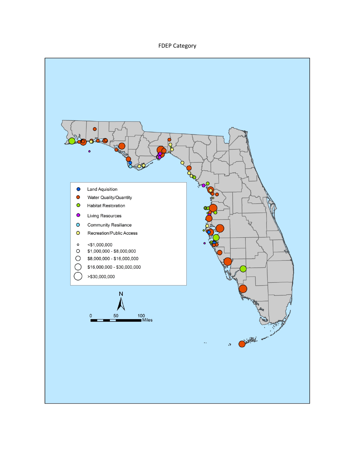## FDEP Category

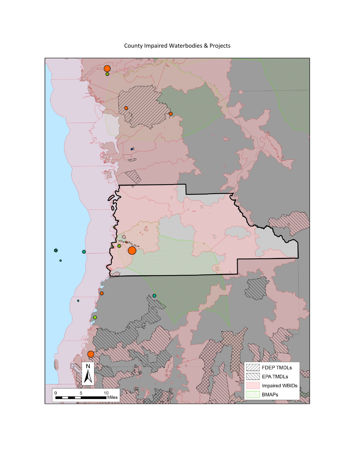County Impaired Waterbodies & Projects

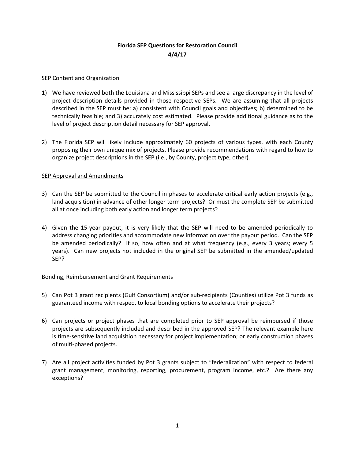## **Florida SEP Questions for Restoration Council 4/4/17**

#### **SEP Content and Organization**

- 1) We have reviewed both the Louisiana and Mississippi SEPs and see a large discrepancy in the level of project description details provided in those respective SEPs. We are assuming that all projects described in the SEP must be: a) consistent with Council goals and objectives; b) determined to be technically feasible; and 3) accurately cost estimated. Please provide additional guidance as to the level of project description detail necessary for SEP approval.
- 2) The Florida SEP will likely include approximately 60 projects of various types, with each County proposing their own unique mix of projects. Please provide recommendations with regard to how to organize project descriptions in the SEP (i.e., by County, project type, other).

#### **SEP Approval and Amendments**

- 3) Can the SEP be submitted to the Council in phases to accelerate critical early action projects (e.g., land acquisition) in advance of other longer term projects? Or must the complete SEP be submitted all at once including both early action and longer term projects?
- 4) Given the 15-year payout, it is very likely that the SEP will need to be amended periodically to address changing priorities and accommodate new information over the payout period. Can the SEP be amended periodically? If so, how often and at what frequency (e.g., every 3 years; every 5 years). Can new projects not included in the original SEP be submitted in the amended/updated SEP?

### Bonding, Reimbursement and Grant Requirements

- 5) Can Pot 3 grant recipients (Gulf Consortium) and/or sub-recipients (Counties) utilize Pot 3 funds as guaranteed income with respect to local bonding options to accelerate their projects?
- 6) Can projects or project phases that are completed prior to SEP approval be reimbursed if those projects are subsequently included and described in the approved SEP? The relevant example here is time-sensitive land acquisition necessary for project implementation; or early construction phases of multi-phased projects.
- 7) Are all project activities funded by Pot 3 grants subject to "federalization" with respect to federal grant management, monitoring, reporting, procurement, program income, etc.? Are there any exceptions?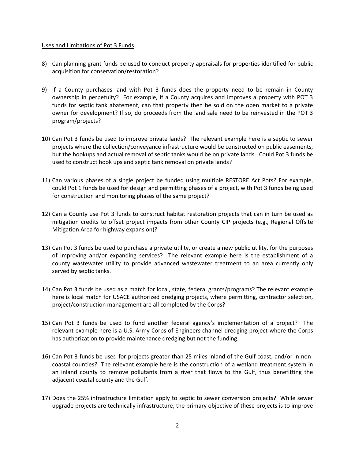#### Uses and Limitations of Pot 3 Funds

- 8) Can planning grant funds be used to conduct property appraisals for properties identified for public acquisition for conservation/restoration?
- 9) If a County purchases land with Pot 3 funds does the property need to be remain in County ownership in perpetuity? For example, if a County acquires and improves a property with POT 3 funds for septic tank abatement, can that property then be sold on the open market to a private owner for development? If so, do proceeds from the land sale need to be reinvested in the POT 3 program/projects?
- 10) Can Pot 3 funds be used to improve private lands? The relevant example here is a septic to sewer projects where the collection/conveyance infrastructure would be constructed on public easements, but the hookups and actual removal of septic tanks would be on private lands. Could Pot 3 funds be used to construct hook ups and septic tank removal on private lands?
- 11) Can various phases of a single project be funded using multiple RESTORE Act Pots? For example, could Pot 1 funds be used for design and permitting phases of a project, with Pot 3 funds being used for construction and monitoring phases of the same project?
- 12) Can a County use Pot 3 funds to construct habitat restoration projects that can in turn be used as mitigation credits to offset project impacts from other County CIP projects (e.g., Regional Offsite Mitigation Area for highway expansion)?
- 13) Can Pot 3 funds be used to purchase a private utility, or create a new public utility, for the purposes of improving and/or expanding services? The relevant example here is the establishment of a county wastewater utility to provide advanced wastewater treatment to an area currently only served by septic tanks.
- 14) Can Pot 3 funds be used as a match for local, state, federal grants/programs? The relevant example here is local match for USACE authorized dredging projects, where permitting, contractor selection, project/construction management are all completed by the Corps?
- 15) Can Pot 3 funds be used to fund another federal agency's implementation of a project? The relevant example here is a U.S. Army Corps of Engineers channel dredging project where the Corps has authorization to provide maintenance dredging but not the funding.
- 16) Can Pot 3 funds be used for projects greater than 25 miles inland of the Gulf coast, and/or in noncoastal counties? The relevant example here is the construction of a wetland treatment system in an inland county to remove pollutants from a river that flows to the Gulf, thus benefitting the adjacent coastal county and the Gulf.
- 17) Does the 25% infrastructure limitation apply to septic to sewer conversion projects? While sewer upgrade projects are technically infrastructure, the primary objective of these projects is to improve